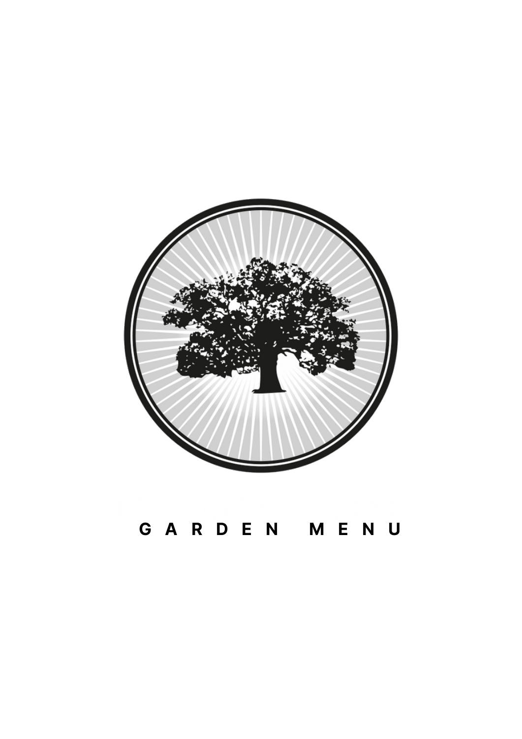

# **G A R D E N M E N U**